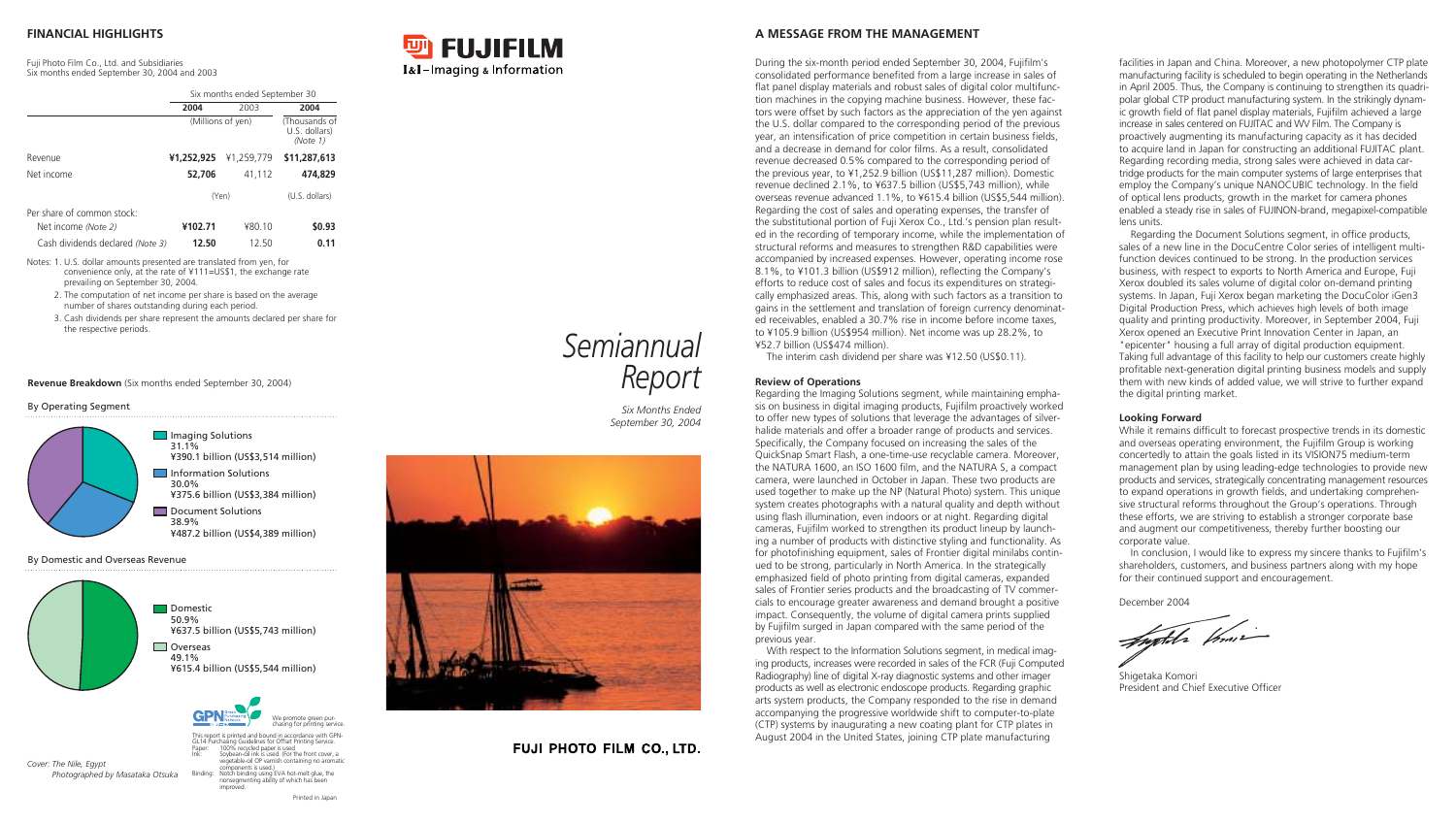|                                  |            | Six months ended September 30 |              |  |
|----------------------------------|------------|-------------------------------|--------------|--|
|                                  | 2004       | 2003                          | 2004         |  |
|                                  |            | (Millions of yen)             |              |  |
| Revenue                          | ¥1,252,925 | ¥1.259.779                    | \$11,287,613 |  |
| Net income                       | 52,706     | 41,112                        | 474,829      |  |
|                                  |            | (Yen)                         |              |  |
| Per share of common stock:       |            |                               |              |  |
| Net income (Note 2)              | ¥102.71    | ¥80.10                        | \$0.93       |  |
| Cash dividends declared (Note 3) | 12.50      | 12.50                         | 0.11         |  |

Notes: 1. U.S. dollar amounts presented are translated from yen, for convenience only, at the rate of ¥111=US\$1, the exchange rate prevailing on September 30, 2004.

- 2. The computation of net income per share is based on the average number of shares outstanding during each period.
- 3. Cash dividends per share represent the amounts declared per share for the respective periods.

During the six-month period ended September 30, 2004, Fujifilm's consolidated performance benefited from a large increase in sales of flat panel display materials and robust sales of digital color multifunction machines in the copying machine business. However, these factors were offset by such factors as the appreciation of the yen against the U.S. dollar compared to the corresponding period of the previous year, an intensification of price competition in certain business fields, and a decrease in demand for color films. As a result, consolidated revenue decreased 0.5% compared to the corresponding period of the previous year, to ¥1,252.9 billion (US\$11,287 million). Domestic revenue declined 2.1%, to ¥637.5 billion (US\$5,743 million), while overseas revenue advanced 1.1%, to ¥615.4 billion (US\$5,544 million). Regarding the cost of sales and operating expenses, the transfer of the substitutional portion of Fuji Xerox Co., Ltd.'s pension plan resulted in the recording of temporary income, while the implementation of structural reforms and measures to strengthen R&D capabilities were accompanied by increased expenses. However, operating income rose 8.1%, to ¥101.3 billion (US\$912 million), reflecting the Company's efforts to reduce cost of sales and focus its expenditures on strategically emphasized areas. This, along with such factors as a transition to gains in the settlement and translation of foreign currency denominated receivables, enabled a 30.7% rise in income before income taxes, to ¥105.9 billion (US\$954 million). Net income was up 28.2%, to ¥52.7 billion (US\$474 million).

The interim cash dividend per share was ¥12.50 (US\$0.11).

#### **Review of Operations**

Regarding the Imaging Solutions segment, while maintaining emphasis on business in digital imaging products, Fujifilm proactively worked to offer new types of solutions that leverage the advantages of silverhalide materials and offer a broader range of products and services. Specifically, the Company focused on increasing the sales of the QuickSnap Smart Flash, a one-time-use recyclable camera. Moreover, the NATURA 1600, an ISO 1600 film, and the NATURA S, a compact camera, were launched in October in Japan. These two products are used together to make up the NP (Natural Photo) system. This unique system creates photographs with a natural quality and depth without using flash illumination, even indoors or at night. Regarding digital cameras, Fujifilm worked to strengthen its product lineup by launching a number of products with distinctive styling and functionality. As for photofinishing equipment, sales of Frontier digital minilabs continued to be strong, particularly in North America. In the strategically emphasized field of photo printing from digital cameras, expanded sales of Frontier series products and the broadcasting of TV commercials to encourage greater awareness and demand brought a positive impact. Consequently, the volume of digital camera prints supplied by Fujifilm surged in Japan compared with the same period of the previous year.

This report is printed and bound in accordance with GPN-GL14 Purchasing Guidelines for Offset Printing Service. Paper: 100% recycled paper is used Soybean-oil ink is used. (For the front cover, a vegetable-oil OP varnish containing no aromatic components is used.) Binding: Notch binding using EVA hot-melt glue, the nonsegmenting ability of which has been nonsegme<br>improved.



With respect to the Information Solutions segment, in medical imaging products, increases were recorded in sales of the FCR (Fuji Computed Radiography) line of digital X-ray diagnostic systems and other imager products as well as electronic endoscope products. Regarding graphic arts system products, the Company responded to the rise in demand accompanying the progressive worldwide shift to computer-to-plate (CTP) systems by inaugurating a new coating plant for CTP plates in August 2004 in the United States, joining CTP plate manufacturing

facilities in Japan and China. Moreover, a new photopolymer CTP plate manufacturing facility is scheduled to begin operating in the Netherlands in April 2005. Thus, the Company is continuing to strengthen its quadripolar global CTP product manufacturing system. In the strikingly dynamic growth field of flat panel display materials, Fujifilm achieved a large increase in sales centered on FUJITAC and WV Film. The Company is proactively augmenting its manufacturing capacity as it has decided to acquire land in Japan for constructing an additional FUJITAC plant. Regarding recording media, strong sales were achieved in data cartridge products for the main computer systems of large enterprises that employ the Company's unique NANOCUBIC technology. In the field of optical lens products, growth in the market for camera phones enabled a steady rise in sales of FUJINON-brand, megapixel-compatible

lens units.

Regarding the Document Solutions segment, in office products, sales of a new line in the DocuCentre Color series of intelligent multifunction devices continued to be strong. In the production services business, with respect to exports to North America and Europe, Fuji Xerox doubled its sales volume of digital color on-demand printing systems. In Japan, Fuji Xerox began marketing the DocuColor iGen3 Digital Production Press, which achieves high levels of both image quality and printing productivity. Moreover, in September 2004, Fuji Xerox opened an Executive Print Innovation Center in Japan, an "epicenter" housing a full array of digital production equipment. Taking full advantage of this facility to help our customers create highly profitable next-generation digital printing business models and supply them with new kinds of added value, we will strive to further expand the digital printing market.

#### **Looking Forward**

While it remains difficult to forecast prospective trends in its domestic and overseas operating environment, the Fujifilm Group is working concertedly to attain the goals listed in its VISION75 medium-term management plan by using leading-edge technologies to provide new products and services, strategically concentrating management resources to expand operations in growth fields, and undertaking comprehensive structural reforms throughout the Group's operations. Through these efforts, we are striving to establish a stronger corporate base and augment our competitiveness, thereby further boosting our

corporate value.

In conclusion, I would like to express my sincere thanks to Fujifilm's shareholders, customers, and business partners along with my hope for their continued support and encouragement.

highler princip

December 2004

Shigetaka Komori President and Chief Executive Officer

### **FINANCIAL HIGHLIGHTS**

Fuji Photo Film Co., Ltd. and Subsidiaries Six months ended September 30, 2004 and 2003

#### **A MESSAGE FROM THE MANAGEMENT**

*Cover: The Nile, Egypt Photographed by Masataka Otsuka*

**Revenue Breakdown** (Six months ended September 30, 2004)

#### By Operating Segment

#### By Domestic and Overseas Revenue







# *Semiannual Report*

*Six Months Ended September 30, 2004*



# **FUJI PHOTO FILM CO., LTD.**